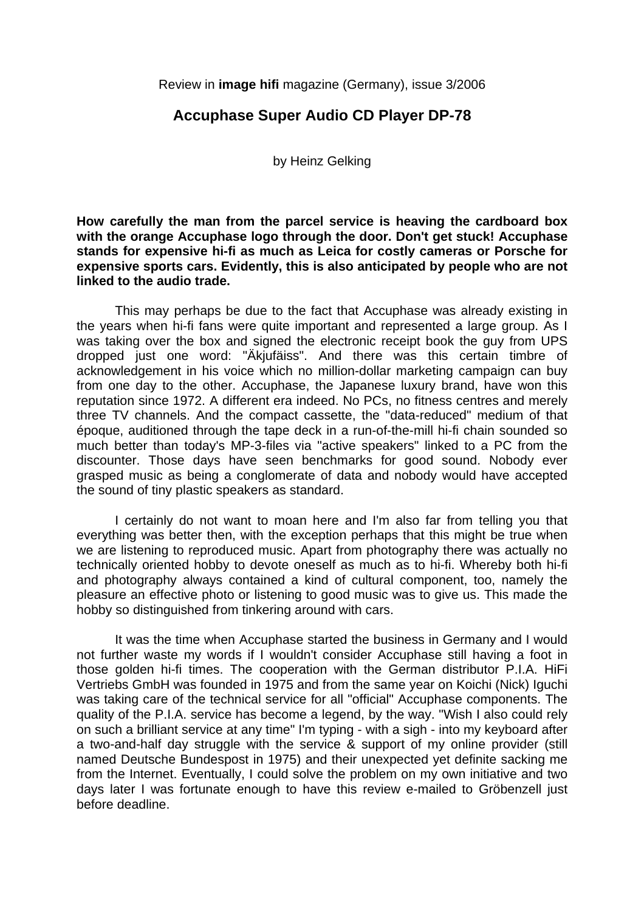Review in **image hifi** magazine (Germany), issue 3/2006

## **Accuphase Super Audio CD Player DP-78**

by Heinz Gelking

**How carefully the man from the parcel service is heaving the cardboard box with the orange Accuphase logo through the door. Don't get stuck! Accuphase stands for expensive hi-fi as much as Leica for costly cameras or Porsche for expensive sports cars. Evidently, this is also anticipated by people who are not linked to the audio trade.** 

 This may perhaps be due to the fact that Accuphase was already existing in the years when hi-fi fans were quite important and represented a large group. As I was taking over the box and signed the electronic receipt book the guy from UPS dropped just one word: "Äkjufäiss". And there was this certain timbre of acknowledgement in his voice which no million-dollar marketing campaign can buy from one day to the other. Accuphase, the Japanese luxury brand, have won this reputation since 1972. A different era indeed. No PCs, no fitness centres and merely three TV channels. And the compact cassette, the "data-reduced" medium of that époque, auditioned through the tape deck in a run-of-the-mill hi-fi chain sounded so much better than today's MP-3-files via "active speakers" linked to a PC from the discounter. Those days have seen benchmarks for good sound. Nobody ever grasped music as being a conglomerate of data and nobody would have accepted the sound of tiny plastic speakers as standard.

 I certainly do not want to moan here and I'm also far from telling you that everything was better then, with the exception perhaps that this might be true when we are listening to reproduced music. Apart from photography there was actually no technically oriented hobby to devote oneself as much as to hi-fi. Whereby both hi-fi and photography always contained a kind of cultural component, too, namely the pleasure an effective photo or listening to good music was to give us. This made the hobby so distinguished from tinkering around with cars.

 It was the time when Accuphase started the business in Germany and I would not further waste my words if I wouldn't consider Accuphase still having a foot in those golden hi-fi times. The cooperation with the German distributor P.I.A. HiFi Vertriebs GmbH was founded in 1975 and from the same year on Koichi (Nick) Iguchi was taking care of the technical service for all "official" Accuphase components. The quality of the P.I.A. service has become a legend, by the way. "Wish I also could rely on such a brilliant service at any time" I'm typing - with a sigh - into my keyboard after a two-and-half day struggle with the service & support of my online provider (still named Deutsche Bundespost in 1975) and their unexpected yet definite sacking me from the Internet. Eventually, I could solve the problem on my own initiative and two days later I was fortunate enough to have this review e-mailed to Gröbenzell just before deadline.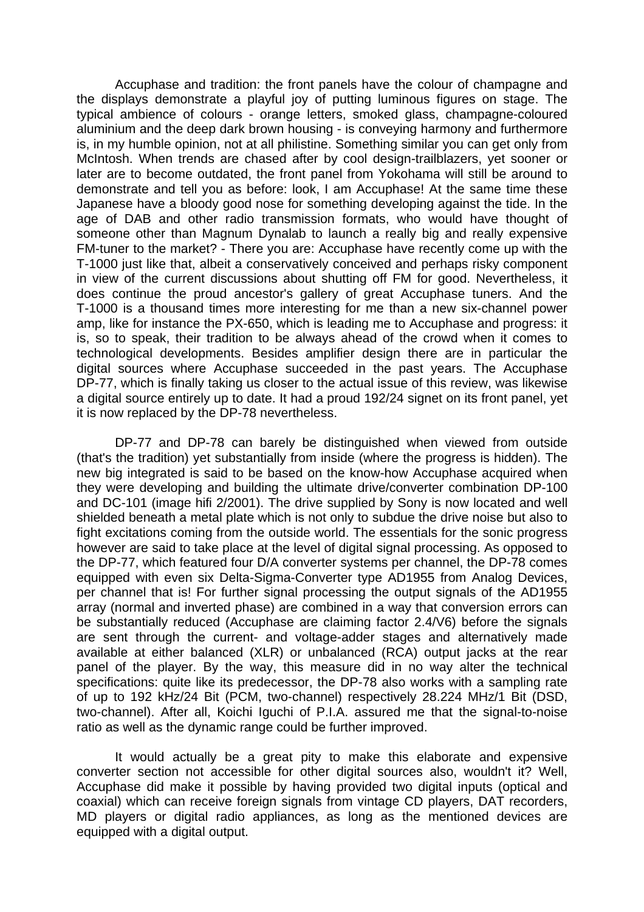Accuphase and tradition: the front panels have the colour of champagne and the displays demonstrate a playful joy of putting luminous figures on stage. The typical ambience of colours - orange letters, smoked glass, champagne-coloured aluminium and the deep dark brown housing - is conveying harmony and furthermore is, in my humble opinion, not at all philistine. Something similar you can get only from McIntosh. When trends are chased after by cool design-trailblazers, yet sooner or later are to become outdated, the front panel from Yokohama will still be around to demonstrate and tell you as before: look, I am Accuphase! At the same time these Japanese have a bloody good nose for something developing against the tide. In the age of DAB and other radio transmission formats, who would have thought of someone other than Magnum Dynalab to launch a really big and really expensive FM-tuner to the market? - There you are: Accuphase have recently come up with the T-1000 just like that, albeit a conservatively conceived and perhaps risky component in view of the current discussions about shutting off FM for good. Nevertheless, it does continue the proud ancestor's gallery of great Accuphase tuners. And the T-1000 is a thousand times more interesting for me than a new six-channel power amp, like for instance the PX-650, which is leading me to Accuphase and progress: it is, so to speak, their tradition to be always ahead of the crowd when it comes to technological developments. Besides amplifier design there are in particular the digital sources where Accuphase succeeded in the past years. The Accuphase DP-77, which is finally taking us closer to the actual issue of this review, was likewise a digital source entirely up to date. It had a proud 192/24 signet on its front panel, yet it is now replaced by the DP-78 nevertheless.

 DP-77 and DP-78 can barely be distinguished when viewed from outside (that's the tradition) yet substantially from inside (where the progress is hidden). The new big integrated is said to be based on the know-how Accuphase acquired when they were developing and building the ultimate drive/converter combination DP-100 and DC-101 (image hifi 2/2001). The drive supplied by Sony is now located and well shielded beneath a metal plate which is not only to subdue the drive noise but also to fight excitations coming from the outside world. The essentials for the sonic progress however are said to take place at the level of digital signal processing. As opposed to the DP-77, which featured four D/A converter systems per channel, the DP-78 comes equipped with even six Delta-Sigma-Converter type AD1955 from Analog Devices, per channel that is! For further signal processing the output signals of the AD1955 array (normal and inverted phase) are combined in a way that conversion errors can be substantially reduced (Accuphase are claiming factor 2.4/V6) before the signals are sent through the current- and voltage-adder stages and alternatively made available at either balanced (XLR) or unbalanced (RCA) output jacks at the rear panel of the player. By the way, this measure did in no way alter the technical specifications: quite like its predecessor, the DP-78 also works with a sampling rate of up to 192 kHz/24 Bit (PCM, two-channel) respectively 28.224 MHz/1 Bit (DSD, two-channel). After all, Koichi Iguchi of P.I.A. assured me that the signal-to-noise ratio as well as the dynamic range could be further improved.

 It would actually be a great pity to make this elaborate and expensive converter section not accessible for other digital sources also, wouldn't it? Well, Accuphase did make it possible by having provided two digital inputs (optical and coaxial) which can receive foreign signals from vintage CD players, DAT recorders, MD players or digital radio appliances, as long as the mentioned devices are equipped with a digital output.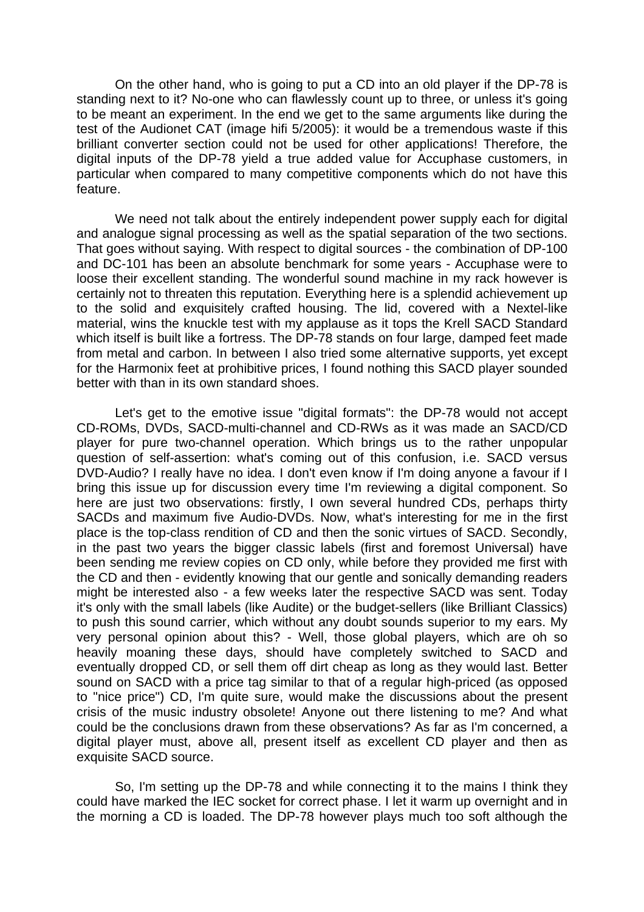On the other hand, who is going to put a CD into an old player if the DP-78 is standing next to it? No-one who can flawlessly count up to three, or unless it's going to be meant an experiment. In the end we get to the same arguments like during the test of the Audionet CAT (image hifi 5/2005): it would be a tremendous waste if this brilliant converter section could not be used for other applications! Therefore, the digital inputs of the DP-78 yield a true added value for Accuphase customers, in particular when compared to many competitive components which do not have this feature.

We need not talk about the entirely independent power supply each for digital and analogue signal processing as well as the spatial separation of the two sections. That goes without saying. With respect to digital sources - the combination of DP-100 and DC-101 has been an absolute benchmark for some years - Accuphase were to loose their excellent standing. The wonderful sound machine in my rack however is certainly not to threaten this reputation. Everything here is a splendid achievement up to the solid and exquisitely crafted housing. The lid, covered with a Nextel-like material, wins the knuckle test with my applause as it tops the Krell SACD Standard which itself is built like a fortress. The DP-78 stands on four large, damped feet made from metal and carbon. In between I also tried some alternative supports, yet except for the Harmonix feet at prohibitive prices, I found nothing this SACD player sounded better with than in its own standard shoes.

 Let's get to the emotive issue "digital formats": the DP-78 would not accept CD-ROMs, DVDs, SACD-multi-channel and CD-RWs as it was made an SACD/CD player for pure two-channel operation. Which brings us to the rather unpopular question of self-assertion: what's coming out of this confusion, i.e. SACD versus DVD-Audio? I really have no idea. I don't even know if I'm doing anyone a favour if I bring this issue up for discussion every time I'm reviewing a digital component. So here are just two observations: firstly, I own several hundred CDs, perhaps thirty SACDs and maximum five Audio-DVDs. Now, what's interesting for me in the first place is the top-class rendition of CD and then the sonic virtues of SACD. Secondly, in the past two years the bigger classic labels (first and foremost Universal) have been sending me review copies on CD only, while before they provided me first with the CD and then - evidently knowing that our gentle and sonically demanding readers might be interested also - a few weeks later the respective SACD was sent. Today it's only with the small labels (like Audite) or the budget-sellers (like Brilliant Classics) to push this sound carrier, which without any doubt sounds superior to my ears. My very personal opinion about this? - Well, those global players, which are oh so heavily moaning these days, should have completely switched to SACD and eventually dropped CD, or sell them off dirt cheap as long as they would last. Better sound on SACD with a price tag similar to that of a regular high-priced (as opposed to "nice price") CD, I'm quite sure, would make the discussions about the present crisis of the music industry obsolete! Anyone out there listening to me? And what could be the conclusions drawn from these observations? As far as I'm concerned, a digital player must, above all, present itself as excellent CD player and then as exquisite SACD source.

 So, I'm setting up the DP-78 and while connecting it to the mains I think they could have marked the IEC socket for correct phase. I let it warm up overnight and in the morning a CD is loaded. The DP-78 however plays much too soft although the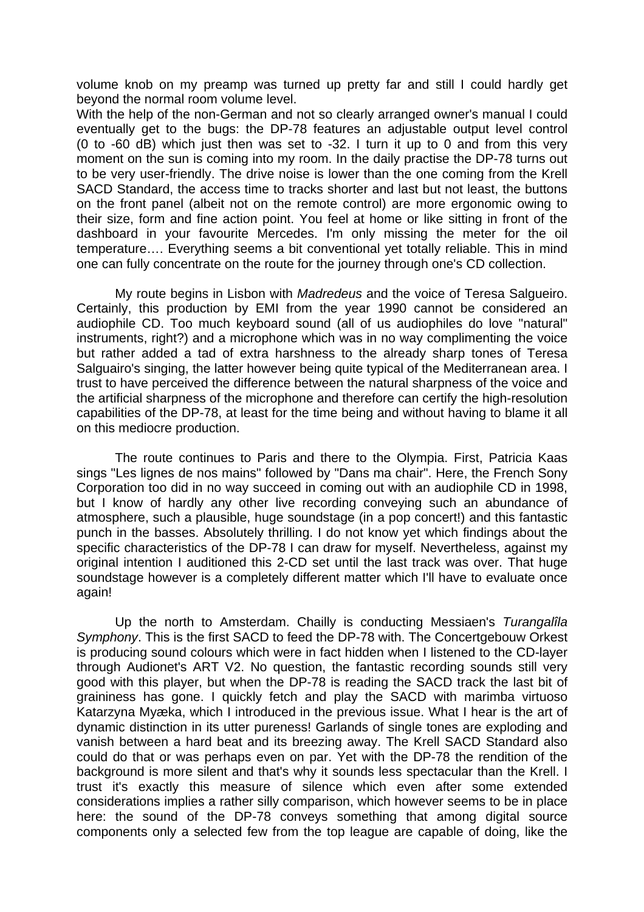volume knob on my preamp was turned up pretty far and still I could hardly get beyond the normal room volume level.

With the help of the non-German and not so clearly arranged owner's manual I could eventually get to the bugs: the DP-78 features an adjustable output level control (0 to -60 dB) which just then was set to -32. I turn it up to 0 and from this very moment on the sun is coming into my room. In the daily practise the DP-78 turns out to be very user-friendly. The drive noise is lower than the one coming from the Krell SACD Standard, the access time to tracks shorter and last but not least, the buttons on the front panel (albeit not on the remote control) are more ergonomic owing to their size, form and fine action point. You feel at home or like sitting in front of the dashboard in your favourite Mercedes. I'm only missing the meter for the oil temperature…. Everything seems a bit conventional yet totally reliable. This in mind one can fully concentrate on the route for the journey through one's CD collection.

 My route begins in Lisbon with *Madredeus* and the voice of Teresa Salgueiro. Certainly, this production by EMI from the year 1990 cannot be considered an audiophile CD. Too much keyboard sound (all of us audiophiles do love "natural" instruments, right?) and a microphone which was in no way complimenting the voice but rather added a tad of extra harshness to the already sharp tones of Teresa Salguairo's singing, the latter however being quite typical of the Mediterranean area. I trust to have perceived the difference between the natural sharpness of the voice and the artificial sharpness of the microphone and therefore can certify the high-resolution capabilities of the DP-78, at least for the time being and without having to blame it all on this mediocre production.

 The route continues to Paris and there to the Olympia. First, Patricia Kaas sings "Les lignes de nos mains" followed by "Dans ma chair". Here, the French Sony Corporation too did in no way succeed in coming out with an audiophile CD in 1998, but I know of hardly any other live recording conveying such an abundance of atmosphere, such a plausible, huge soundstage (in a pop concert!) and this fantastic punch in the basses. Absolutely thrilling. I do not know yet which findings about the specific characteristics of the DP-78 I can draw for myself. Nevertheless, against my original intention I auditioned this 2-CD set until the last track was over. That huge soundstage however is a completely different matter which I'll have to evaluate once again!

 Up the north to Amsterdam. Chailly is conducting Messiaen's *Turangalîla Symphony*. This is the first SACD to feed the DP-78 with. The Concertgebouw Orkest is producing sound colours which were in fact hidden when I listened to the CD-layer through Audionet's ART V2. No question, the fantastic recording sounds still very good with this player, but when the DP-78 is reading the SACD track the last bit of graininess has gone. I quickly fetch and play the SACD with marimba virtuoso Katarzyna Myæka, which I introduced in the previous issue. What I hear is the art of dynamic distinction in its utter pureness! Garlands of single tones are exploding and vanish between a hard beat and its breezing away. The Krell SACD Standard also could do that or was perhaps even on par. Yet with the DP-78 the rendition of the background is more silent and that's why it sounds less spectacular than the Krell. I trust it's exactly this measure of silence which even after some extended considerations implies a rather silly comparison, which however seems to be in place here: the sound of the DP-78 conveys something that among digital source components only a selected few from the top league are capable of doing, like the